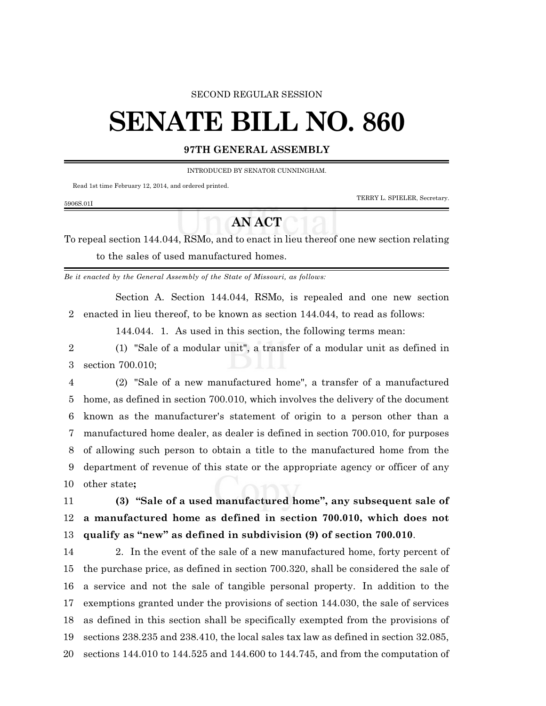#### SECOND REGULAR SESSION

# **SENATE BILL NO. 860**

#### **97TH GENERAL ASSEMBLY**

INTRODUCED BY SENATOR CUNNINGHAM.

Read 1st time February 12, 2014, and ordered printed.

TERRY L. SPIELER, Secretary.

### 5906S.01I

## **AN ACT**

To repeal section 144.044, RSMo, and to enact in lieu thereof one new section relating to the sales of used manufactured homes.

*Be it enacted by the General Assembly of the State of Missouri, as follows:*

Section A. Section 144.044, RSMo, is repealed and one new section enacted in lieu thereof, to be known as section 144.044, to read as follows:

144.044. 1. As used in this section, the following terms mean:

 (1) "Sale of a modular unit", a transfer of a modular unit as defined in section 700.010;

 (2) "Sale of a new manufactured home", a transfer of a manufactured home, as defined in section 700.010, which involves the delivery of the document known as the manufacturer's statement of origin to a person other than a manufactured home dealer, as dealer is defined in section 700.010, for purposes of allowing such person to obtain a title to the manufactured home from the department of revenue of this state or the appropriate agency or officer of any other state**;**

 **(3) "Sale of a used manufactured home", any subsequent sale of a manufactured home as defined in section 700.010, which does not qualify as "new" as defined in subdivision (9) of section 700.010**.

 2. In the event of the sale of a new manufactured home, forty percent of the purchase price, as defined in section 700.320, shall be considered the sale of a service and not the sale of tangible personal property. In addition to the exemptions granted under the provisions of section 144.030, the sale of services as defined in this section shall be specifically exempted from the provisions of sections 238.235 and 238.410, the local sales tax law as defined in section 32.085, sections 144.010 to 144.525 and 144.600 to 144.745, and from the computation of